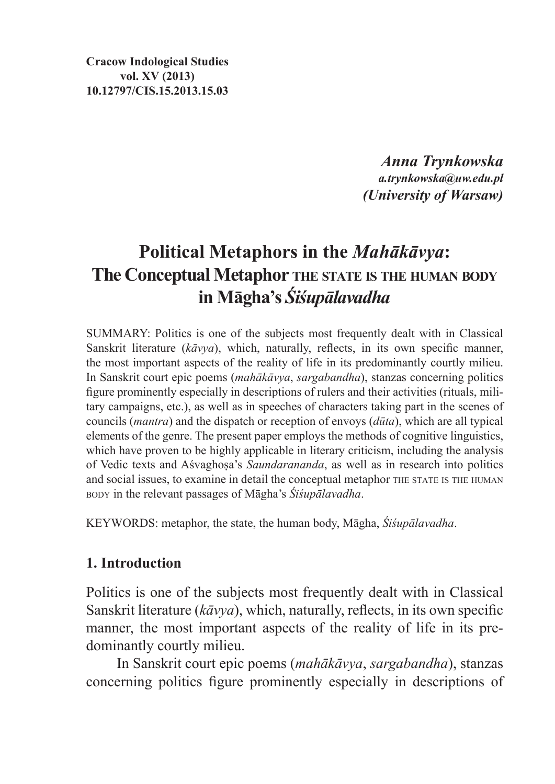**Cracow Indological Studies vol. XV (2013) 10.12797/CIS.15.2013.15.03**

> *Anna Trynkowska a.trynkowska@uw.edu.pl (University of Warsaw)*

## **Political Metaphors in the** *Mahākāvya***: The Conceptual Metaphor the state is the human body in Māgha's** *Śiśupālavadha*

SUMMARY: Politics is one of the subjects most frequently dealt with in Classical Sanskrit literature (*kāvya*), which, naturally, reflects, in its own specific manner, the most important aspects of the reality of life in its predominantly courtly milieu. In Sanskrit court epic poems (*mahākāvya*, *sargabandha*), stanzas concerning politics figure prominently especially in descriptions of rulers and their activities (rituals, military campaigns, etc.), as well as in speeches of characters taking part in the scenes of councils (*mantra*) and the dispatch or reception of envoys (*dūta*), which are all typical elements of the genre. The present paper employs the methods of cognitive linguistics, which have proven to be highly applicable in literary criticism, including the analysis of Vedic texts and Aśvaghoṣa's *Saundarananda*, as well as in research into politics and social issues, to examine in detail the conceptual metaphor THE STATE IS THE HUMAN body in the relevant passages of Māgha's *Śiśupālavadha*.

KEYWORDS: metaphor, the state, the human body, Māgha, *Śiśupālavadha*.

## **1. Introduction**

Politics is one of the subjects most frequently dealt with in Classical Sanskrit literature (*kāvya*), which, naturally, reflects, in its own specific manner, the most important aspects of the reality of life in its predominantly courtly milieu.

In Sanskrit court epic poems (*mahākāvya*, *sargabandha*), stanzas concerning politics figure prominently especially in descriptions of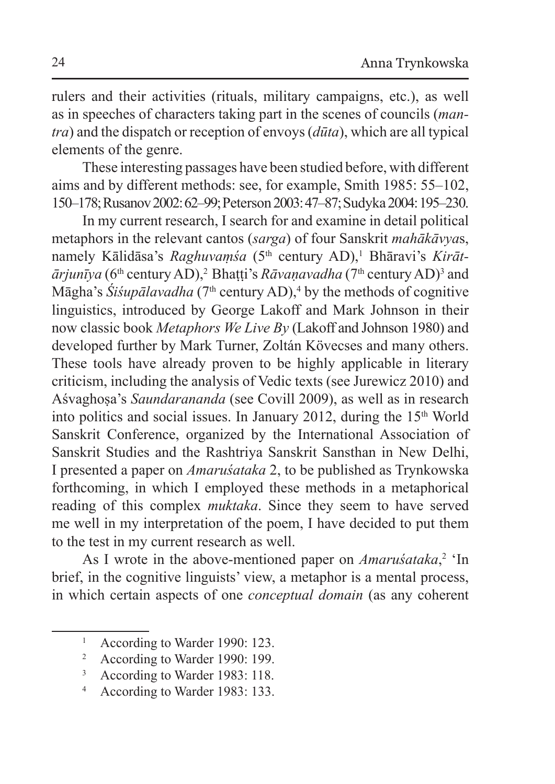rulers and their activities (rituals, military campaigns, etc.), as well as in speeches of characters taking part in the scenes of councils (*mantra*) and the dispatch or reception of envoys (*dūta*), which are all typical elements of the genre.

These interesting passages have been studied before, with different aims and by different methods: see, for example, Smith 1985: 55–102, 150–178; Rusanov 2002: 62–99; Peterson 2003: 47–87; Sudyka 2004: 195–230.

In my current research, I search for and examine in detail political metaphors in the relevant cantos (*sarga*) of four Sanskrit *mahākāvya*s, namely Kālidāsa's *Raghuvaṃśa* (5<sup>th</sup> century AD),<sup>1</sup> Bhāravi's *Kirāt*- $\bar{a}$ *rjunīya* (6<sup>th</sup> century AD),<sup>2</sup> Bhaṭṭi's *Rāvaṇavadha* (7<sup>th</sup> century AD)<sup>3</sup> and Māgha's *Siśupālavadha* (7<sup>th</sup> century AD),<sup>4</sup> by the methods of cognitive linguistics, introduced by George Lakoff and Mark Johnson in their now classic book *Metaphors We Live By* (Lakoff and Johnson 1980) and developed further by Mark Turner, Zoltán Kövecses and many others. These tools have already proven to be highly applicable in literary criticism, including the analysis of Vedic texts (see Jurewicz 2010) and Aśvaghoṣa's *Saundarananda* (see Covill 2009), as well as in research into politics and social issues. In January 2012, during the  $15<sup>th</sup>$  World Sanskrit Conference, organized by the International Association of Sanskrit Studies and the Rashtriya Sanskrit Sansthan in New Delhi, I presented a paper on *Amaruśataka* 2, to be published as Trynkowska forthcoming, in which I employed these methods in a metaphorical reading of this complex *muktaka*. Since they seem to have served me well in my interpretation of the poem, I have decided to put them to the test in my current research as well.

As I wrote in the above-mentioned paper on *Amaruśataka*,<sup>2</sup> 'In brief, in the cognitive linguists' view, a metaphor is a mental process, in which certain aspects of one *conceptual domain* (as any coherent

<sup>&</sup>lt;sup>1</sup> According to Warder 1990: 123.

<sup>2</sup> According to Warder 1990: 199.

<sup>3</sup> According to Warder 1983: 118.

<sup>4</sup> According to Warder 1983: 133.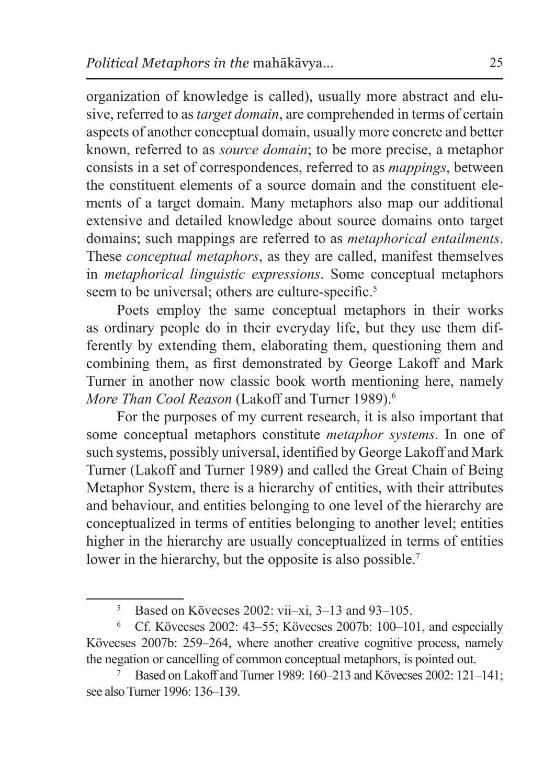organization of knowledge is called), usually more abstract and elusive, referred to as *target domain*, are comprehended in terms of certain aspects of another conceptual domain, usually more concrete and better known, referred to as *source domain*; to be more precise, a metaphor consists in a set of correspondences, referred to as *mappings*, between the constituent elements of a source domain and the constituent elements of a target domain. Many metaphors also map our additional extensive and detailed knowledge about source domains onto target domains; such mappings are referred to as *metaphorical entailments*. These *conceptual metaphors*, as they are called, manifest themselves in *metaphorical linguistic expressions*. Some conceptual metaphors seem to be universal; others are culture-specific.<sup>5</sup>

Poets employ the same conceptual metaphors in their works as ordinary people do in their everyday life, but they use them differently by extending them, elaborating them, questioning them and combining them, as first demonstrated by George Lakoff and Mark Turner in another now classic book worth mentioning here, namely *More Than Cool Reason* (Lakoff and Turner 1989).<sup>6</sup>

For the purposes of my current research, it is also important that some conceptual metaphors constitute *metaphor systems*. In one of such systems, possibly universal, identified by George Lakoff and Mark Turner (Lakoff and Turner 1989) and called the Great Chain of Being Metaphor System, there is a hierarchy of entities, with their attributes and behaviour, and entities belonging to one level of the hierarchy are conceptualized in terms of entities belonging to another level; entities higher in the hierarchy are usually conceptualized in terms of entities lower in the hierarchy, but the opposite is also possible.<sup>7</sup>

 $5$  Based on Kövecses 2002: vii–xi, 3–13 and 93–105.

<sup>6</sup> Cf. Kövecses 2002: 43–55; Kövecses 2007b: 100–101, and especially Kövecses 2007b: 259–264, where another creative cognitive process, namely the negation or cancelling of common conceptual metaphors, is pointed out.

<sup>7</sup> Based on Lakoff and Turner 1989: 160–213 and Kövecses 2002: 121–141; see also Turner 1996: 136–139.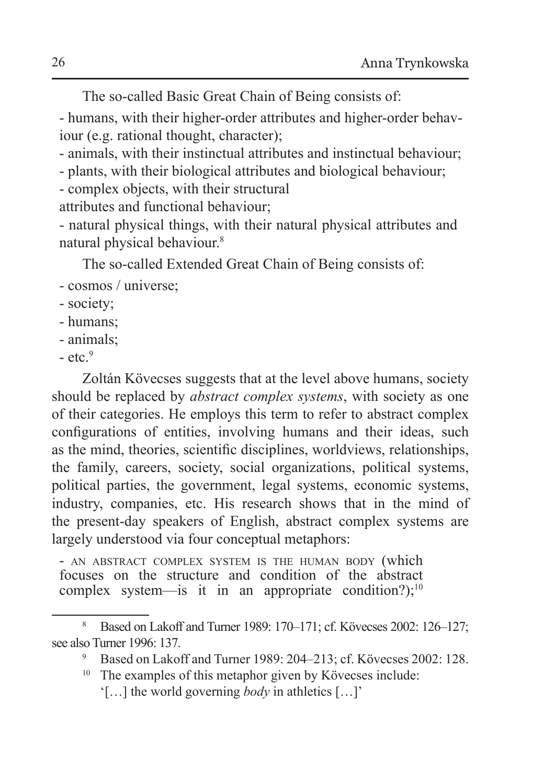The so-called Basic Great Chain of Being consists of:

- humans, with their higher-order attributes and higher-order behaviour (e.g. rational thought, character);

- animals, with their instinctual attributes and instinctual behaviour;

- plants, with their biological attributes and biological behaviour;

- complex objects, with their structural

attributes and functional behaviour;

- natural physical things, with their natural physical attributes and natural physical behaviour.<sup>8</sup>

The so-called Extended Great Chain of Being consists of:

- cosmos / universe;
- society;
- humans;
- animals;
- $-$  etc. $9$

Zoltán Kövecses suggests that at the level above humans, society should be replaced by *abstract complex systems*, with society as one of their categories. He employs this term to refer to abstract complex configurations of entities, involving humans and their ideas, such as the mind, theories, scientific disciplines, worldviews, relationships, the family, careers, society, social organizations, political systems, political parties, the government, legal systems, economic systems, industry, companies, etc. His research shows that in the mind of the present-day speakers of English, abstract complex systems are largely understood via four conceptual metaphors:

- AN ABSTRACT COMPLEX SYSTEM IS THE HUMAN BODY (which focuses on the structure and condition of the abstract complex system—is it in an appropriate condition?);<sup>10</sup>

<sup>8</sup> Based on Lakoff and Turner 1989: 170–171; cf. Kövecses 2002: 126–127; see also Turner 1996: 137.

<sup>9</sup> Based on Lakoff and Turner 1989: 204–213; cf. Kövecses 2002: 128.

<sup>&</sup>lt;sup>10</sup> The examples of this metaphor given by Kövecses include:

<sup>&#</sup>x27;[…] the world governing *body* in athletics […]'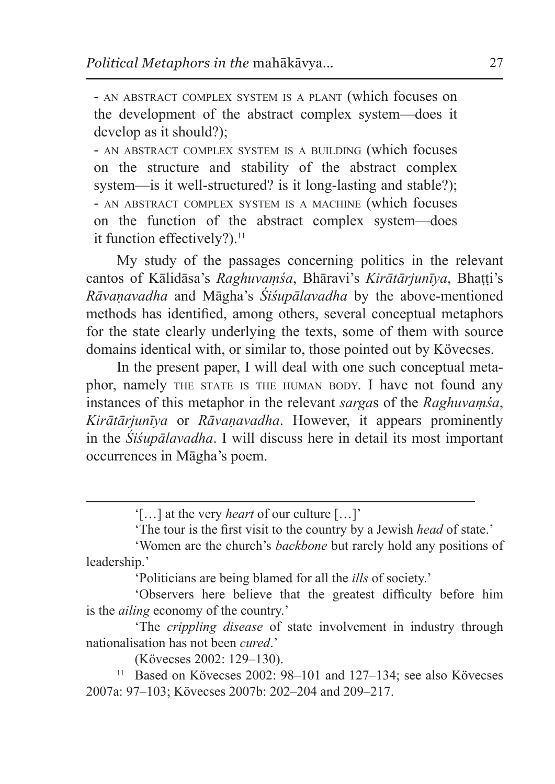- an abstract complex system is a plant (which focuses on the development of the abstract complex system—does it develop as it should?);

- an abstract complex system is a building (which focuses on the structure and stability of the abstract complex system—is it well-structured? is it long-lasting and stable?); - an abstract complex system is a machine (which focuses on the function of the abstract complex system—does it function effectively?).<sup>11</sup>

My study of the passages concerning politics in the relevant cantos of Kālidāsa's *Raghuvaṃśa*, Bhāravi's *Kirātārjunīya*, Bhaṭṭi's *Rāvaṇavadha* and Māgha's *Śiśupālavadha* by the above-mentioned methods has identified, among others, several conceptual metaphors for the state clearly underlying the texts, some of them with source domains identical with, or similar to, those pointed out by Kövecses.

In the present paper, I will deal with one such conceptual metaphor, namely THE STATE IS THE HUMAN BODY. I have not found any instances of this metaphor in the relevant *sarga*s of the *Raghuvaṃśa*, *Kirātārjunīya* or *Rāvaṇavadha*. However, it appears prominently in the *Śiśupālavadha*. I will discuss here in detail its most important occurrences in Māgha's poem.

'Politicians are being blamed for all the *ills* of society.'

'Observers here believe that the greatest difficulty before him is the *ailing* economy of the country.'

'The *crippling disease* of state involvement in industry through nationalisation has not been *cured*.'

(Kövecses 2002: 129–130).

<sup>11</sup> Based on Kövecses 2002: 98-101 and 127-134; see also Kövecses 2007a: 97–103; Kövecses 2007b: 202–204 and 209–217.

<sup>&#</sup>x27;[…] at the very *heart* of our culture […]'

<sup>&#</sup>x27;The tour is the first visit to the country by a Jewish *head* of state.'

<sup>&#</sup>x27;Women are the church's *backbone* but rarely hold any positions of leadership.'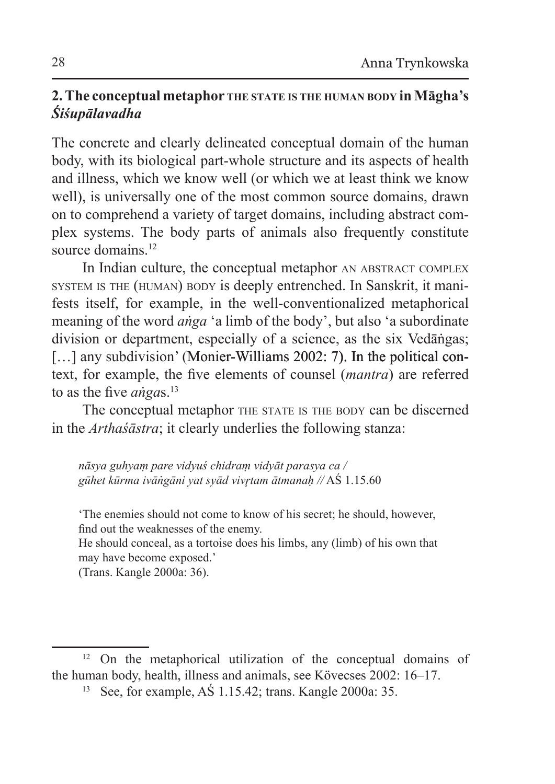## **2. The conceptual metaphor the state is the human body in Māgha's**  *Śiśupālavadha*

The concrete and clearly delineated conceptual domain of the human body, with its biological part-whole structure and its aspects of health and illness, which we know well (or which we at least think we know well), is universally one of the most common source domains, drawn on to comprehend a variety of target domains, including abstract complex systems. The body parts of animals also frequently constitute source domains<sup>12</sup>

In Indian culture, the conceptual metaphor AN ABSTRACT COMPLEX system is the (human) body is deeply entrenched. In Sanskrit, it manifests itself, for example, in the well-conventionalized metaphorical meaning of the word *aṅga* 'a limb of the body', but also 'a subordinate division or department, especially of a science, as the six Vedāṅgas; [...] any subdivision' (Monier-Williams 2002: 7). In the political context, for example, the five elements of counsel (*mantra*) are referred to as the five *angas*.<sup>13</sup>

The conceptual metaphor THE STATE IS THE BODY can be discerned in the *Arthaśāstra*; it clearly underlies the following stanza:

*nāsya guhyaṃ pare vidyuś chidraṃ vidyāt parasya ca / gūhet kūrma ivāṅgāni yat syād vivr̥tam ātmanaḥ //* AŚ 1.15.60

'The enemies should not come to know of his secret; he should, however, find out the weaknesses of the enemy.

He should conceal, as a tortoise does his limbs, any (limb) of his own that may have become exposed.'

(Trans. Kangle 2000a: 36).

<sup>12</sup> On the metaphorical utilization of the conceptual domains of the human body, health, illness and animals, see Kövecses 2002: 16–17.

<sup>13</sup> See, for example, AŚ 1.15.42; trans. Kangle 2000a: 35.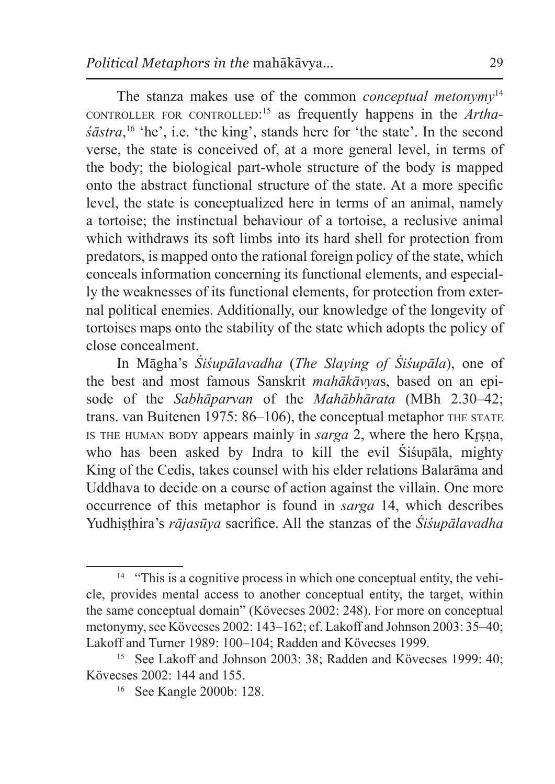The stanza makes use of the common *conceptual metonymy*<sup>14</sup> controller for controlled: <sup>15</sup> as frequently happens in the *Arthaśāstra*, <sup>16</sup> 'he', i.e. 'the king', stands here for 'the state'. In the second verse, the state is conceived of, at a more general level, in terms of the body; the biological part-whole structure of the body is mapped onto the abstract functional structure of the state. At a more specific level, the state is conceptualized here in terms of an animal, namely a tortoise; the instinctual behaviour of a tortoise, a reclusive animal which withdraws its soft limbs into its hard shell for protection from predators, is mapped onto the rational foreign policy of the state, which conceals information concerning its functional elements, and especially the weaknesses of its functional elements, for protection from external political enemies. Additionally, our knowledge of the longevity of tortoises maps onto the stability of the state which adopts the policy of close concealment.

In Māgha's *Śiśupālavadha* (*The Slaying of Śiśupāla*), one of the best and most famous Sanskrit *mahākāvya*s, based on an episode of the *Sabhāparvan* of the *Mahābhārata* (MBh 2.30–42; trans. van Buitenen 1975: 86–106), the conceptual metaphor THE STATE is the human body appears mainly in *sarga* 2, where the hero Krsna, who has been asked by Indra to kill the evil Śiśupāla, mighty King of the Cedis, takes counsel with his elder relations Balarāma and Uddhava to decide on a course of action against the villain. One more occurrence of this metaphor is found in *sarga* 14, which describes Yudhiṣṭhira's *rājasūya* sacrifice. All the stanzas of the *Śiśupālavadha* 

<sup>&</sup>lt;sup>14</sup> "This is a cognitive process in which one conceptual entity, the vehicle, provides mental access to another conceptual entity, the target, within the same conceptual domain" (Kövecses 2002: 248). For more on conceptual metonymy, see Kövecses 2002: 143–162; cf. Lakoff and Johnson 2003: 35–40; Lakoff and Turner 1989: 100–104; Radden and Kövecses 1999.

<sup>&</sup>lt;sup>15</sup> See Lakoff and Johnson 2003: 38; Radden and Kövecses 1999: 40; Kövecses 2002: 144 and 155.

<sup>16</sup> See Kangle 2000b: 128.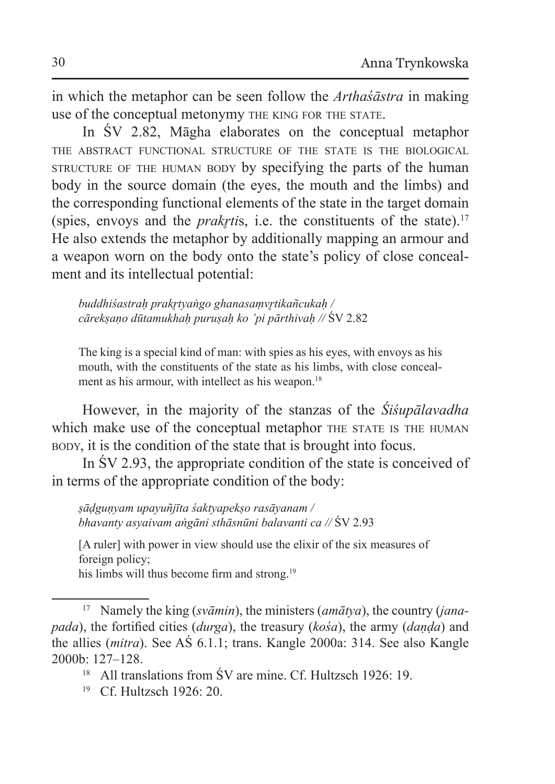in which the metaphor can be seen follow the *Arthaśāstra* in making use of the conceptual metonymy the king for the state.

In ŚV 2.82, Māgha elaborates on the conceptual metaphor the abstract functional structure of the state is the biological structure of the human body by specifying the parts of the human body in the source domain (the eyes, the mouth and the limbs) and the corresponding functional elements of the state in the target domain (spies, envoys and the *prakrtis*, i.e. the constituents of the state).<sup>17</sup> He also extends the metaphor by additionally mapping an armour and a weapon worn on the body onto the state's policy of close concealment and its intellectual potential:

*buddhiśastraḥ prakr̥tyaṅgo ghanasaṃvr̥tikañcukaḥ / cārekṣaṇo dūtamukhaḥ puruṣaḥ ko 'pi pārthivaḥ //* ŚV 2.82

The king is a special kind of man: with spies as his eyes, with envoys as his mouth, with the constituents of the state as his limbs, with close concealment as his armour, with intellect as his weapon.<sup>18</sup>

However, in the majority of the stanzas of the *Śiśupālavadha* which make use of the conceptual metaphor THE STATE IS THE HUMAN body, it is the condition of the state that is brought into focus.

In ŚV 2.93, the appropriate condition of the state is conceived of in terms of the appropriate condition of the body:

*ṣāḍguṇyam upayuñjīta śaktyapekṣo rasāyanam / bhavanty asyaivam aṅgāni sthāsnūni balavanti ca //* ŚV 2.93

[A ruler] with power in view should use the elixir of the six measures of foreign policy;

his limbs will thus become firm and strong.<sup>19</sup>

<sup>17</sup> Namely the king (*svāmin*), the ministers (*amātya*), the country (*janapada*), the fortified cities (*durga*), the treasury (*kośa*), the army (*daṇḍa*) and the allies (*mitra*). See AŚ 6.1.1; trans. Kangle 2000a: 314. See also Kangle 2000b: 127–128.

<sup>&</sup>lt;sup>18</sup> All translations from SV are mine. Cf. Hultzsch 1926: 19.

<sup>&</sup>lt;sup>19</sup> Cf. Hultzsch 1926: 20.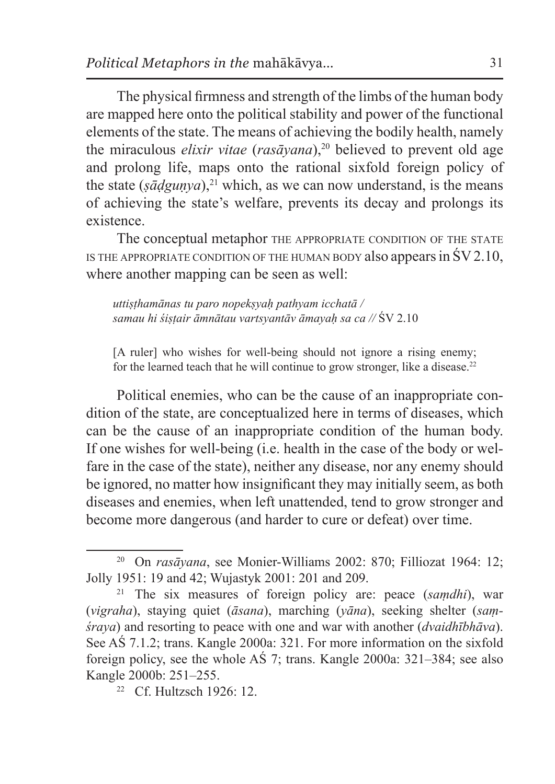The physical firmness and strength of the limbs of the human body are mapped here onto the political stability and power of the functional elements of the state. The means of achieving the bodily health, namely the miraculous *elixir vitae* (*rasāyana*),<sup>20</sup> believed to prevent old age and prolong life, maps onto the rational sixfold foreign policy of the state  $(s\bar{a}dgunva)$ ,<sup>21</sup> which, as we can now understand, is the means of achieving the state's welfare, prevents its decay and prolongs its existence.

The conceptual metaphor THE APPROPRIATE CONDITION OF THE STATE IS THE APPROPRIATE CONDITION OF THE HUMAN BODY also appears in  $\text{SV }2.10$ , where another mapping can be seen as well:

*uttiṣṭhamānas tu paro nopekṣyaḥ pathyam icchatā / samau hi śiṣṭair āmnātau vartsyantāv āmayaḥ sa ca //* ŚV 2.10

[A ruler] who wishes for well-being should not ignore a rising enemy; for the learned teach that he will continue to grow stronger, like a disease.<sup>22</sup>

Political enemies, who can be the cause of an inappropriate condition of the state, are conceptualized here in terms of diseases, which can be the cause of an inappropriate condition of the human body. If one wishes for well-being (i.e. health in the case of the body or welfare in the case of the state), neither any disease, nor any enemy should be ignored, no matter how insignificant they may initially seem, as both diseases and enemies, when left unattended, tend to grow stronger and become more dangerous (and harder to cure or defeat) over time.

<sup>22</sup> Cf. Hultzsch 1926: 12.

<sup>20</sup> On *rasāyana*, see Monier-Williams 2002: 870; Filliozat 1964: 12; Jolly 1951: 19 and 42; Wujastyk 2001: 201 and 209.

<sup>21</sup> The six measures of foreign policy are: peace (*saṃdhi*), war (*vigraha*), staying quiet (*āsana*), marching (*yāna*), seeking shelter (*saṃśraya*) and resorting to peace with one and war with another (*dvaidhībhāva*). See AŚ 7.1.2; trans. Kangle 2000a: 321. For more information on the sixfold foreign policy, see the whole AŚ 7; trans. Kangle 2000a: 321–384; see also Kangle 2000b: 251–255.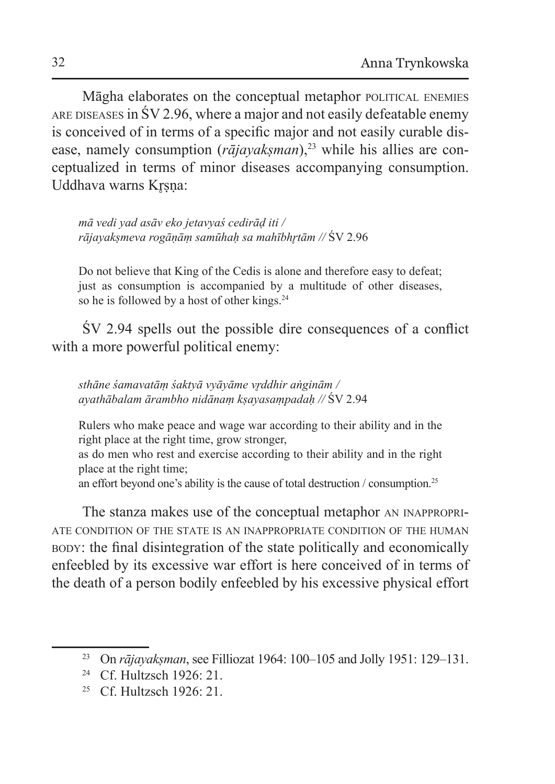Māgha elaborates on the conceptual metaphor political enemies ARE DISEASES in  $\text{SV } 2.96$ , where a major and not easily defeatable enemy is conceived of in terms of a specific major and not easily curable disease, namely consumption (*rājayakṣman*),<sup>23</sup> while his allies are conceptualized in terms of minor diseases accompanying consumption. Uddhava warns Krsna:

*mā vedi yad asāv eko jetavyaś cedirāḍ iti / rājayakṣmeva rogāṇāṃ samūhaḥ sa mahībhr̥tām //* ŚV 2.96

Do not believe that King of the Cedis is alone and therefore easy to defeat; just as consumption is accompanied by a multitude of other diseases, so he is followed by a host of other kings.<sup>24</sup>

ŚV 2.94 spells out the possible dire consequences of a conflict with a more powerful political enemy:

*sthāne śamavatāṃ śaktyā vyāyāme vr̥ddhir aṅginām / ayathābalam ārambho nidānaṃ kṣayasaṃpadaḥ //* ŚV 2.94

Rulers who make peace and wage war according to their ability and in the right place at the right time, grow stronger,

as do men who rest and exercise according to their ability and in the right place at the right time;

an effort beyond one's ability is the cause of total destruction / consumption.<sup>25</sup>

The stanza makes use of the conceptual metaphor an inappropriate condition of the state is an inappropriate condition of the human body: the final disintegration of the state politically and economically enfeebled by its excessive war effort is here conceived of in terms of the death of a person bodily enfeebled by his excessive physical effort

<sup>23</sup> On *rājayakṣman*, see Filliozat 1964: 100–105 and Jolly 1951: 129–131.

<sup>&</sup>lt;sup>24</sup> Cf. Hultzsch 1926: 21.

<sup>&</sup>lt;sup>25</sup> Cf. Hultzsch  $1926:21$ .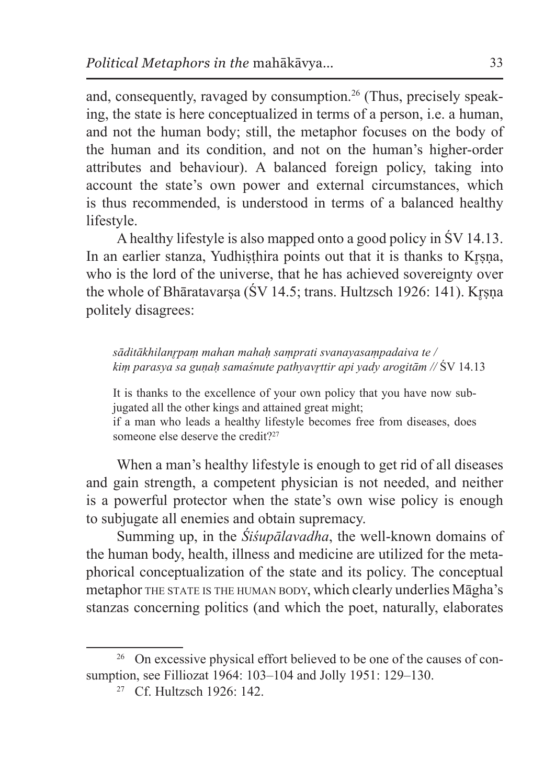and, consequently, ravaged by consumption.<sup>26</sup> (Thus, precisely speaking, the state is here conceptualized in terms of a person, i.e. a human, and not the human body; still, the metaphor focuses on the body of the human and its condition, and not on the human's higher-order attributes and behaviour). A balanced foreign policy, taking into account the state's own power and external circumstances, which is thus recommended, is understood in terms of a balanced healthy lifestyle.

A healthy lifestyle is also mapped onto a good policy in ŚV 14.13. In an earlier stanza, Yudhisthira points out that it is thanks to Krsna, who is the lord of the universe, that he has achieved sovereignty over the whole of Bhāratavarsa (ŚV 14.5; trans. Hultzsch 1926: 141). Krsna politely disagrees:

*sāditākhilanr̥paṃ mahan mahaḥ saṃprati svanayasaṃpadaiva te / kiṃ parasya sa guṇaḥ samaśnute pathyavr̥ttir api yady arogitām //* ŚV 14.13

It is thanks to the excellence of your own policy that you have now subjugated all the other kings and attained great might;

if a man who leads a healthy lifestyle becomes free from diseases, does someone else deserve the credit?<sup>27</sup>

When a man's healthy lifestyle is enough to get rid of all diseases and gain strength, a competent physician is not needed, and neither is a powerful protector when the state's own wise policy is enough to subjugate all enemies and obtain supremacy.

Summing up, in the *Śiśupālavadha*, the well-known domains of the human body, health, illness and medicine are utilized for the metaphorical conceptualization of the state and its policy. The conceptual metaphor THE STATE IS THE HUMAN BODY, which clearly underlies Māgha's stanzas concerning politics (and which the poet, naturally, elaborates

<sup>&</sup>lt;sup>26</sup> On excessive physical effort believed to be one of the causes of consumption, see Filliozat 1964: 103–104 and Jolly 1951: 129–130.

<sup>27</sup> Cf. Hultzsch 1926: 142.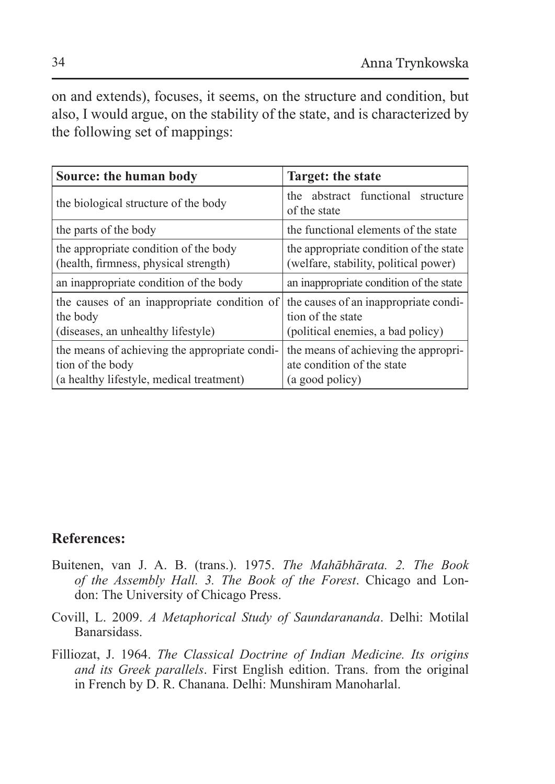on and extends), focuses, it seems, on the structure and condition, but also, I would argue, on the stability of the state, and is characterized by the following set of mappings:

| Source: the human body                                                                                        | Target: the state                                                                               |
|---------------------------------------------------------------------------------------------------------------|-------------------------------------------------------------------------------------------------|
| the biological structure of the body                                                                          | the abstract functional structure<br>of the state                                               |
| the parts of the body                                                                                         | the functional elements of the state                                                            |
| the appropriate condition of the body<br>(health, firmness, physical strength)                                | the appropriate condition of the state<br>(welfare, stability, political power)                 |
| an inappropriate condition of the body                                                                        | an inappropriate condition of the state                                                         |
| the causes of an inappropriate condition of<br>the body<br>(diseases, an unhealthy lifestyle)                 | the causes of an inappropriate condi-<br>tion of the state<br>(political enemies, a bad policy) |
| the means of achieving the appropriate condi-<br>tion of the body<br>(a healthy lifestyle, medical treatment) | the means of achieving the appropri-<br>ate condition of the state<br>(a good policy)           |

## **References:**

- Buitenen, van J. A. B. (trans.). 1975. *The Mahābhārata. 2. The Book of the Assembly Hall. 3. The Book of the Forest*. Chicago and London: The University of Chicago Press.
- Covill, L. 2009. *A Metaphorical Study of Saundarananda*. Delhi: Motilal Banarsidass.
- Filliozat, J. 1964. *The Classical Doctrine of Indian Medicine. Its origins and its Greek parallels*. First English edition. Trans. from the original in French by D. R. Chanana. Delhi: Munshiram Manoharlal.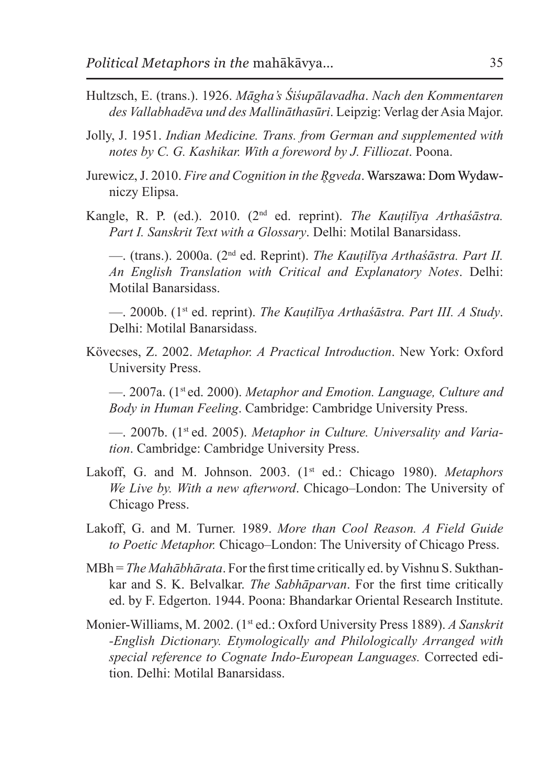- Hultzsch, E. (trans.). 1926. *Māgha's Śiśupālavadha*. *Nach den Kommentaren des Vallabhadēva und des Mallināthasūri*. Leipzig: Verlag der Asia Major.
- Jolly, J. 1951. *Indian Medicine. Trans. from German and supplemented with notes by C. G. Kashikar. With a foreword by J. Filliozat*. Poona.
- Jurewicz, J. 2010. *Fire and Cognition in the R̥gveda*. Warszawa: Dom Wydawniczy Elipsa.
- Kangle, R. P. (ed.). 2010. (2nd ed. reprint). *The Kauṭilīya Arthaśāstra. Part I. Sanskrit Text with a Glossary*. Delhi: Motilal Banarsidass.

—. (trans.). 2000a. (2nd ed. Reprint). *The Kauṭilīya Arthaśāstra. Part II. An English Translation with Critical and Explanatory Notes*. Delhi: Motilal Banarsidass.

—. 2000b. (1st ed. reprint). *The Kauṭilīya Arthaśāstra. Part III. A Study*. Delhi: Motilal Banarsidass.

Kövecses, Z. 2002. *Metaphor. A Practical Introduction*. New York: Oxford University Press.

—. 2007a. (1st ed. 2000). *Metaphor and Emotion. Language, Culture and Body in Human Feeling*. Cambridge: Cambridge University Press.

—. 2007b. (1st ed. 2005). *Metaphor in Culture. Universality and Variation*. Cambridge: Cambridge University Press.

- Lakoff, G. and M. Johnson. 2003. (1<sup>st</sup> ed.: Chicago 1980). *Metaphors We Live by. With a new afterword*. Chicago–London: The University of Chicago Press.
- Lakoff, G. and M. Turner. 1989. *More than Cool Reason. A Field Guide to Poetic Metaphor.* Chicago–London: The University of Chicago Press.
- MBh = *The Mahābhārata*. For the first time critically ed. by Vishnu S. Sukthankar and S. K. Belvalkar. *The Sabhāparvan*. For the first time critically ed. by F. Edgerton. 1944. Poona: Bhandarkar Oriental Research Institute.
- Monier-Williams, M. 2002. (1st ed.: Oxford University Press 1889). *A Sanskrit -English Dictionary. Etymologically and Philologically Arranged with special reference to Cognate Indo-European Languages.* Corrected edition. Delhi: Motilal Banarsidass.